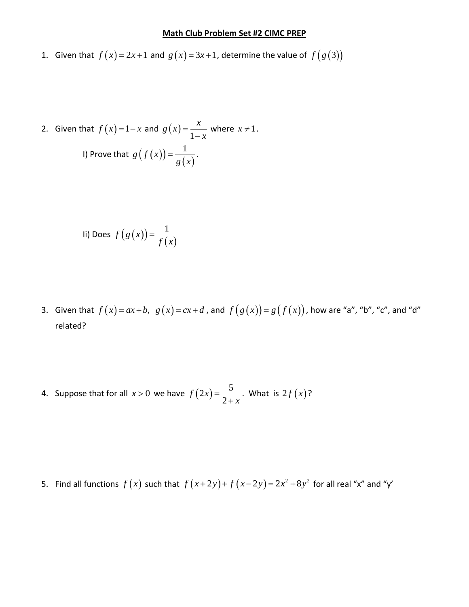## **Math Club Problem Set #2 CIMC PREP**

- 1. Given that  $f(x) = 2x+1$  and  $g(x) = 3x+1$ , determine the value of  $f(g(3))$
- 2. Given that  $f(x)=1-x$  and  $g(x)$ 1  $g(x) = \frac{x}{x}$ *x*  $=$  $\overline{a}$ where  $x \neq 1$ . I) Prove that  $g(f(x))$  $(x)$  $g(f(x)) = \frac{1}{x}$  $=\frac{1}{g(x)}$ .

$$
\text{li) Does } f\left(g\left(x\right)\right) = \frac{1}{f\left(x\right)}
$$

- 3. Given that  $f(x) = ax + b$ ,  $g(x) = cx + d$ , and  $f(g(x)) = g(f(x))$ , how are "a", "b", "c", and "d" related?
- 4. Suppose that for all  $x > 0$  we have  $f(2x)$  $(2x) = \frac{5}{2}$ 2 *f x x*  $=$  $\ddot{}$ . What is  $2f(x)$ ?

5. Find all functions  $f(x)$  such that  $f(x+2y)+f(x-2y)=2x^2+8y^2$  for all real "x" and "y'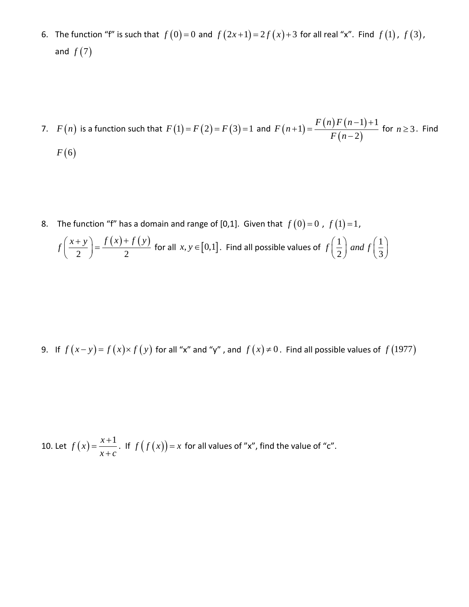- 6. The function "f" is such that  $f(0)=0$  and  $f(2x+1)=2f(x)+3$  for all real "x". Find  $f(1)$ ,  $f(3)$ , and  $f(7)$
- 7.  $F(n)$  is a function such that  $F(1) = F(2) = F(3) = 1$  and  $F(n+1)$  $(n) F(n-1)$  $(n-2)$ 1) =  $\frac{F(n)F(n-1)+1}{F(n-1)}$ 2  $F(n)F(n)$  $F(n)$  $\frac{f(x)}{F(n)}$  $(-1)+1$  $+1) = \frac{F(n)F(n)}{F(n-1)}$ for  $n \geq 3$ . Find  $F(6)$
- 8. The function "f" has a domain and range of [0,1]. Given that  $f(0)=0$  ,  $f(1)=1$ ,

$$
f\left(\frac{x+y}{2}\right) = \frac{f(x)+f(y)}{2}
$$
 for all  $x, y \in [0,1]$ . Find all possible values of  $f\left(\frac{1}{2}\right)$  and  $f\left(\frac{1}{3}\right)$ 

9. If 
$$
f(x-y) = f(x) \times f(y)
$$
 for all "x" and "y", and  $f(x) \ne 0$ . Find all possible values of  $f(1977)$ 

10. Let 
$$
f(x) = \frac{x+1}{x+c}
$$
. If  $f(f(x)) = x$  for all values of "x", find the value of "c".